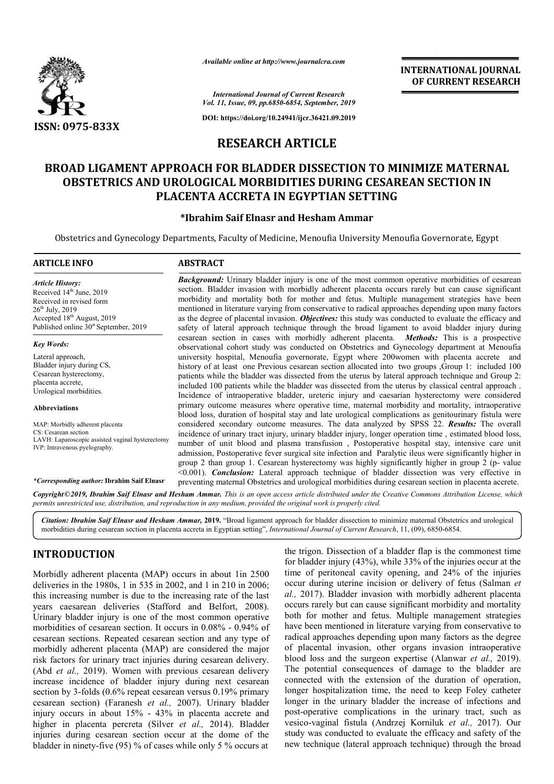

*Available online at http://www.journalcra.com*

*International Journal of Current Research Vol. 11, Issue, 09, pp.6850-6854, September, 2019*

**DOI: https://doi.org/10.24941/ijcr.36421.09.2019**

# **RESEARCH ARTICLE**

# BROAD LIGAMENT APPROACH FOR BLADDER DISSECTION TO MINIMIZE MATERNAL OBSTETRICS AND UROLOGICAL MORBIDITIES DURING CESAREAN SECTION IN **PLACENTA ACCRETA IN EGYPTIAN SETTING**

## **\*Ibrahim Saif Elnasr and Hesham Ammar Ibrahim**

Obstetrics and Gynecology Departments, Faculty of Medicine, Menoufia University Menoufia Governorate, Egypt

#### **ARTICLE INFO ABSTRACT**

*Article History:* Received 14<sup>th</sup> June, 2019 Received in revised form 26th July, 2019 Accepted 18<sup>th</sup> August, 2019 Published online 30<sup>st</sup> September, 2019

*Key Words:*

Lateral approach, Bladder injury during CS, Cesarean hysterectomy, placenta accrete, Urological morbidities.

**Abbreviations**

MAP: Morbidly adherent placenta CS: Cesarean section LAVH: Laparoscopic assisted vaginal hysterectomy IVP: Intravenous pyelography.

*\*Corresponding author:* **Ibrahim Saif Elnasr**

**Background:** Urinary bladder injury is one of the most common operative morbidities of cesarean section. Bladder invasion with morbidly adherent placenta occurs rarely but can cause significant **Background:** Urinary bladder injury is one of the most common operative morbidities of cesarean section. Bladder invasion with morbidly adherent placenta occurs rarely but can cause significant morbidity and mortality bot mentioned in literature varying from conservative to radical approaches depending upon many factors mentioned in literature varying from conservative to radical approaches depending upon many factors as the degree of placental invasion. *Objectives*: this study was conducted to evaluate the efficacy and safety of lateral approach technique through the broad ligament to avoid bladder injury during cesarean section in cases with morbidly adherent placenta. *Methods:* This is a prospective observational cohort study was conducted on Obstetrics and Gynecology department at Menoufia universit university hospital, Menoufia governorate, Egypt where 200women with placenta accrete and history of at least one Previous cesarean section allocated into two groups ,Group 1: included 100 patients while the bladder was dissected from the uterus by lateral approach technique and Group 2: included 100 patients while the bladder was dissected from the uterus by classical central approach . Incidence of intraoperative bladder, ureteric injury and caesarian hysterectomy were considered primary outcome measures where operative time, maternal morbidity and mortality, intraoperative blood loss, duration of hospital stay and late urological complications as genitourinary fistula were included 100 patients while the bladder was dissected from the uterus by classical central approach.<br>Incidence of intraoperative bladder, ureteric injury and caesarian hysterectomy were considered<br>primary outcome measures incidence of urinary tract injury, urinary bladder injury, longer operation time , estimated blood loss, number of unit blood and plasma transfusion , Postoperative hospital stay, intensive care unit admission, Postoperative fever surgical site infection and Paralytic ileus were significantly higher in group 2 than group 1. Cesarean hysterectomy was highly significantly higher in group 2 (p <0.001). *Conclusion:* Lateral approach technique of bladder dissection was very effective in <0.001). **Conclusion:** Lateral approach technique of bladder dissection was very effective in preventing maternal Obstetrics and urological morbidities during cesarean section in placenta accrete. observational cohort study was conducted on Obstetrics and Gynecology department at Menoufia<br>university hospital, Menoufia governorate, Egypt where 200women with placenta accrete and<br>history of at least one Previous cesare incidence of urinary tract injury, urinary bladder injury, longer operation time, estimated blood loss, number of unit blood and plasma transfusion, Postoperative hospital stay, intensive care unit admission, Postoperative **INTERNATIONAL JOURNAL**<br>
or **CURRENT RESEARCH**<br>
of **CURRENT RESEARCH**<br>
or **CURRENT RESEARCH**<br>
2019<br>
2019<br>
2019<br>
2019<br>
TION TO MINIMIZE MATEENNAL<br>
CINGGESAREAN SECTION IN<br>
NETTING<br>
durant University Menoutha Governorate, E

Copyright©2019, Ibrahim Saif Elnasr and Hesham Ammar. This is an open access article distributed under the Creative Commons Attribution License, which permits unrestricted use, distribution, and reproduction in any medium, provided the original work is properly cited.

Citation: Ibrahim Saif Elnasr and Hesham Ammar, 2019. "Broad ligament approach for bladder dissection to minimize maternal Obstetrics and urological morbidities during cesarean section in placenta accreta in Egyptian setting", *International Journal of Current Research*, 11, (09), 6850-6854.

# **INTRODUCTION**

Morbidly adherent placenta (MAP) occurs in about 1in 2500 deliveries in the 1980s, 1 in 535 in 2002, and 1 in 210 in 2006; this increasing number is due to the increasing rate of the last years caesarean deliveries (Stafford and Belfort, 2008). Urinary bladder injury is one of the most common operative Urinary bladder injury is one of the most common operative morbidities of cesarean section. It occurs in 0.08% - 0.94% of cesarean sections. Repeated cesarean section and any type of morbidly adherent placenta (MAP) are considered the major risk factors for urinary tract injuries during cesarean delivery. (Abd *et al.,* 2019). Women with previous cesarean delivery increase incidence of bladder injury during next cesarean section by 3-folds (0.6% repeat cesarean versus 0.19% primary section by 3-folds (0.6% repeat cesarean versus 0.19% primary cesarean section) (Faranesh *et al., 2007*). Urinary bladder injury occurs in about 15% - 43% in placenta accrete and higher in placenta percreta (Silver *et al.,*  2014). Bladder injuries during cesarean section occur at the dome of the bladder in ninety-five (95) % of cases while only 5 % occurs at

**ON**<br> **on** the trigon. Dissection of a bladder flap is the commonest time<br>
or high of briadder injury (43%), while 33% of the injuries occur at the<br>
980s, 1 in 535 in 2002, and 1 in 210 in 2006; occur during uterine incis for bladder injury (43%), while 33% of the injuries occur at the time of peritoneal cavity opening, and 24% of the injuries occur during uterine incision or delivery of fetus (Salman et *al.,* 2017). Bladder invasion with morbidly adherent placenta occurs rarely but can cause significant morbidity and mortality both for mother and fetus. Multiple management strategies have been mentioned in literature varying from conservative to radical approaches depending upon many factors as the degree of placental invasion, other organs invasion intraoperative of placental invasion, other organs invasion intraoperative blood loss and the surgeon expertise (Alanwar *et al.*, 2019). The potential consequences of damage to the bladder are The potential consequences of damage to the bladder are connected with the extension of the duration of operation, longer hospitalization time, the need to keep Foley catheter longer in the urinary bladder the increase of infections and post-operative complications in the urinary tract, such as vesico-vaginal fistula (Andrzej Korniluk et al., 2017). Our study was conducted to evaluate the efficacy and safety of the new technique (lateral approach technique) through the broad igon. Dissection of a bladder flap is the commonest time adder injury (43%), while 33% of the injuries occur at the of peritoneal cavity opening, and 24% of the injuries during uterine incision or delivery of fetus (Salman 017). Bladder invasion with morbidly adherent placenta's rarely but can cause significant morbidity and mortality for mother and fetus. Multiple management strategies been mentioned in literature varying from conservative er hospitalization time, the need to keep Foley catheter<br>er in the urinary bladder the increase of infections and<br>operative complications in the urinary tract, such as<br>o-vaginal fistula (Andrzej Korniluk *et al.*, 2017). O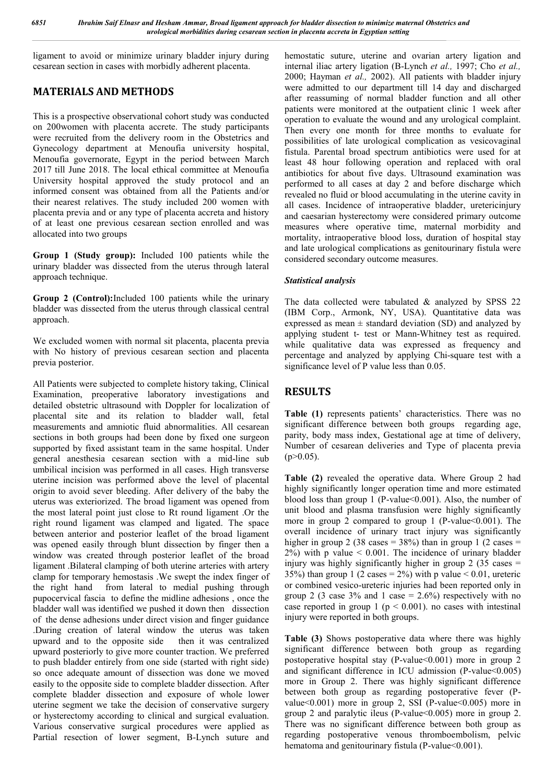ligament to avoid or minimize urinary bladder injury during cesarean section in cases with morbidly adherent placenta.

# **MATERIALS AND METHODS**

This is a prospective observational cohort study was conducted on 200women with placenta accrete. The study participants were recruited from the delivery room in the Obstetrics and Gynecology department at Menoufia university hospital, Menoufia governorate, Egypt in the period between March 2017 till June 2018. The local ethical committee at Menoufia University hospital approved the study protocol and an informed consent was obtained from all the Patients and/or their nearest relatives. The study included 200 women with placenta previa and or any type of placenta accreta and history of at least one previous cesarean section enrolled and was allocated into two groups

**Group 1 (Study group):** Included 100 patients while the urinary bladder was dissected from the uterus through lateral approach technique.

**Group 2 (Control):**Included 100 patients while the urinary bladder was dissected from the uterus through classical central approach.

We excluded women with normal sit placenta, placenta previa with No history of previous cesarean section and placenta previa posterior.

All Patients were subjected to complete history taking, Clinical Examination, preoperative laboratory investigations and detailed obstetric ultrasound with Doppler for localization of placental site and its relation to bladder wall, fetal measurements and amniotic fluid abnormalities. All cesarean sections in both groups had been done by fixed one surgeon supported by fixed assistant team in the same hospital. Under general anesthesia cesarean section with a mid-line sub umbilical incision was performed in all cases. High transverse uterine incision was performed above the level of placental origin to avoid sever bleeding. After delivery of the baby the uterus was exteriorized. The broad ligament was opened from the most lateral point just close to Rt round ligament .Or the right round ligament was clamped and ligated. The space between anterior and posterior leaflet of the broad ligament was opened easily through blunt dissection by finger then a window was created through posterior leaflet of the broad ligament .Bilateral clamping of both uterine arteries with artery clamp for temporary hemostasis .We swept the index finger of the right hand from lateral to medial pushing through pupocervical fascia to define the midline adhesions , once the bladder wall was identified we pushed it down then dissection of the dense adhesions under direct vision and finger guidance .During creation of lateral window the uterus was taken upward and to the opposite side then it was centralized upward posteriorly to give more counter traction. We preferred to push bladder entirely from one side (started with right side) so once adequate amount of dissection was done we moved easily to the opposite side to complete bladder dissection. After complete bladder dissection and exposure of whole lower uterine segment we take the decision of conservative surgery or hysterectomy according to clinical and surgical evaluation. Various conservative surgical procedures were applied as Partial resection of lower segment, B-Lynch suture and hemostatic suture, uterine and ovarian artery ligation and internal iliac artery ligation (B-Lynch *et al.,* 1997; Cho *et al.,*  2000; Hayman *et al.,* 2002). All patients with bladder injury were admitted to our department till 14 day and discharged after reassuming of normal bladder function and all other patients were monitored at the outpatient clinic 1 week after operation to evaluate the wound and any urological complaint. Then every one month for three months to evaluate for possibilities of late urological complication as vesicovaginal fistula. Parental broad spectrum antibiotics were used for at least 48 hour following operation and replaced with oral antibiotics for about five days. Ultrasound examination was performed to all cases at day 2 and before discharge which revealed no fluid or blood accumulating in the uterine cavity in all cases. Incidence of intraoperative bladder, uretericinjury and caesarian hysterectomy were considered primary outcome measures where operative time, maternal morbidity and mortality, intraoperative blood loss, duration of hospital stay and late urological complications as genitourinary fistula were considered secondary outcome measures.

## *Statistical analysis*

The data collected were tabulated & analyzed by SPSS 22 (IBM Corp., Armonk, NY, USA). Quantitative data was expressed as mean  $\pm$  standard deviation (SD) and analyzed by applying student t- test or Mann-Whitney test as required. while qualitative data was expressed as frequency and percentage and analyzed by applying Chi-square test with a significance level of P value less than 0.05.

# **RESULTS**

**Table (1)** represents patients' characteristics. There was no significant difference between both groups regarding age, parity, body mass index, Gestational age at time of delivery, Number of cesarean deliveries and Type of placenta previa  $(p>0.05)$ .

**Table (2)** revealed the operative data. Where Group 2 had highly significantly longer operation time and more estimated blood loss than group 1 (P-value < 0.001). Also, the number of unit blood and plasma transfusion were highly significantly more in group 2 compared to group 1 (P-value $\leq 0.001$ ). The overall incidence of urinary tract injury was significantly higher in group 2 (38 cases =  $38\%$ ) than in group 1 (2 cases =  $2\%$ ) with p value  $\leq 0.001$ . The incidence of urinary bladder injury was highly significantly higher in group  $2(35 \text{ cases} =$ 35%) than group 1 (2 cases =  $2\%$ ) with p value  $\leq 0.01$ , ureteric or combined vesico-ureteric injuries had been reported only in group 2 (3 case  $3\%$  and 1 case = 2.6%) respectively with no case reported in group 1 ( $p \le 0.001$ ). no cases with intestinal injury were reported in both groups.

**Table (3)** Shows postoperative data where there was highly significant difference between both group as regarding postoperative hospital stay (P-value  $0.001$ ) more in group 2 and significant difference in ICU admission (P-value<0.005) more in Group 2. There was highly significant difference between both group as regarding postoperative fever (Pvalue $\leq 0.001$ ) more in group 2, SSI (P-value $\leq 0.005$ ) more in group 2 and paralytic ileus (P-value<0.005) more in group 2. There was no significant difference between both group as regarding postoperative venous thromboembolism, pelvic hematoma and genitourinary fistula (P-value < 0.001).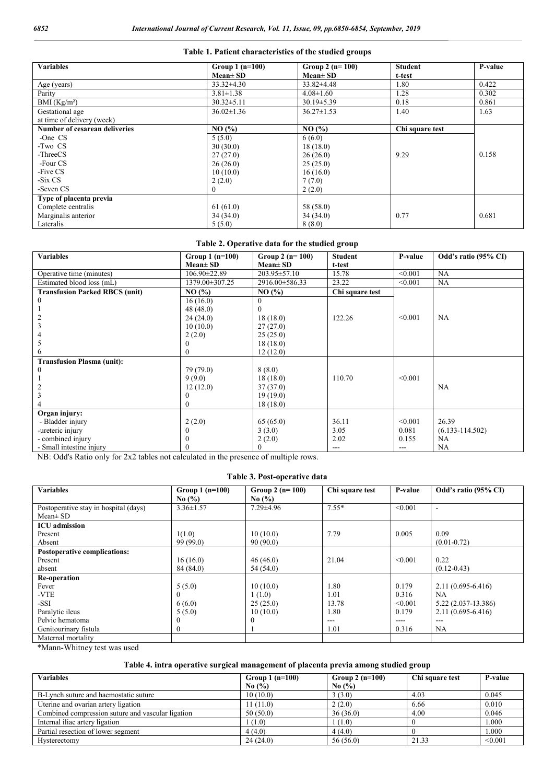#### **Table 1. Patient characteristics of the studied groups**

| <b>Variables</b>              | Group $1(n=100)$ | Group 2 $(n=100)$ | Student         | P-value |
|-------------------------------|------------------|-------------------|-----------------|---------|
|                               | $Mean \pm SD$    | $Mean \pm SD$     | t-test          |         |
| Age (years)                   | $33.32 \pm 4.30$ | $33.82\pm4.48$    | 1.80            | 0.422   |
| Parity                        | $3.81 \pm 1.38$  | $4.08 \pm 1.60$   | 1.28            | 0.302   |
| BMI (Kg/m <sup>2</sup> )      | $30.32 \pm 5.11$ | $30.19 \pm 5.39$  | 0.18            | 0.861   |
| Gestational age               | $36.02 \pm 1.36$ | $36.27 \pm 1.53$  | 1.40            | 1.63    |
| at time of delivery (week)    |                  |                   |                 |         |
| Number of cesarean deliveries | NO(%)            | NO(%)             | Chi square test |         |
| -One CS                       | 5(5.0)           | 6(6.0)            |                 |         |
| -Two CS                       | 30(30.0)         | 18(18.0)          |                 |         |
| -ThreeCS                      | 27(27.0)         | 26(26.0)          | 9.29            | 0.158   |
| -Four CS                      | 26(26.0)         | 25(25.0)          |                 |         |
| -Five CS                      | 10(10.0)         | 16(16.0)          |                 |         |
| -Six CS                       | 2(2.0)           | 7(7.0)            |                 |         |
| -Seven CS                     | $\Omega$         | 2(2.0)            |                 |         |
| Type of placenta previa       |                  |                   |                 |         |
| Complete centralis            | 61(61.0)         | 58 (58.0)         |                 |         |
| Marginalis anterior           | 34(34.0)         | 34(34.0)          | 0.77            | 0.681   |
| Lateralis                     | 5(5.0)           | 8(8.0)            |                 |         |

### **Table 2. Operative data for the studied group**

| <b>Variables</b>                      | Group $1(n=100)$ | Group 2 $(n=100)$  | <b>Student</b>  | P-value | Odd's ratio (95% CI) |
|---------------------------------------|------------------|--------------------|-----------------|---------|----------------------|
|                                       | $Mean \pm SD$    | $Mean \pm SD$      | t-test          |         |                      |
| Operative time (minutes)              | 106.90±22.89     | $203.95 \pm 57.10$ | 15.78           | < 0.001 | NA                   |
| Estimated blood loss (mL)             | 1379.00±307.25   | 2916.00 ± 586.33   | 23.22           | < 0.001 | NA.                  |
| <b>Transfusion Packed RBCS (unit)</b> | NO(%)            | NO(%)              | Chi square test |         |                      |
|                                       | 16(16.0)         | $\Omega$           |                 |         |                      |
|                                       | 48 (48.0)        |                    |                 |         |                      |
|                                       | 24(24.0)         | 18(18.0)           | 122.26          | < 0.001 | NA                   |
|                                       | 10(10.0)         | 27(27.0)           |                 |         |                      |
|                                       | 2(2.0)           | 25(25.0)           |                 |         |                      |
|                                       |                  | 18(18.0)           |                 |         |                      |
|                                       | 0                | 12(12.0)           |                 |         |                      |
| <b>Transfusion Plasma (unit):</b>     |                  |                    |                 |         |                      |
|                                       | 79 (79.0)        | 8(8.0)             |                 |         |                      |
|                                       | 9(9.0)           | 18(18.0)           | 110.70          | < 0.001 |                      |
|                                       | 12(12.0)         | 37(37.0)           |                 |         | NA                   |
|                                       |                  | 19(19.0)           |                 |         |                      |
|                                       |                  | 18(18.0)           |                 |         |                      |
| Organ injury:                         |                  |                    |                 |         |                      |
| - Bladder injury                      | 2(2.0)           | 65(65.0)           | 36.11           | < 0.001 | 26.39                |
| -ureteric injury                      |                  | 3(3.0)             | 3.05            | 0.081   | $(6.133 - 114.502)$  |
| - combined injury                     |                  | 2(2.0)             | 2.02            | 0.155   | NA                   |
| - Small intestine injury              |                  | $\theta$           | $---$           | ---     | NA                   |

NB: Odd's Ratio only for 2x2 tables not calculated in the presence of multiple rows.

## **Table 3. Post-operative data**

| <b>Variables</b>                      | Group $1(n=100)$ | Group 2 $(n=100)$ | Chi square test | P-value | Odd's ratio (95% CI)  |
|---------------------------------------|------------------|-------------------|-----------------|---------|-----------------------|
|                                       | No $(\% )$       | No $(\% )$        |                 |         |                       |
| Postoperative stay in hospital (days) | $3.36 \pm 1.57$  | $7.29 \pm 4.96$   | $7.55*$         | < 0.001 |                       |
| $Mean \pm SD$                         |                  |                   |                 |         |                       |
| <b>ICU</b> admission                  |                  |                   |                 |         |                       |
| Present                               | 1(1.0)           | 10(10.0)          | 7.79            | 0.005   | 0.09                  |
| Absent                                | 99(99.0)         | 90(90.0)          |                 |         | $(0.01 - 0.72)$       |
| <b>Postoperative complications:</b>   |                  |                   |                 |         |                       |
| Present                               | 16(16.0)         | 46(46.0)          | 21.04           | < 0.001 | 0.22                  |
| absent                                | 84 (84.0)        | 54 (54.0)         |                 |         | $(0.12 - 0.43)$       |
| Re-operation                          |                  |                   |                 |         |                       |
| Fever                                 | 5(5.0)           | 10(10.0)          | 1.80            | 0.179   | $2.11(0.695 - 6.416)$ |
| -VTE                                  | $\theta$         | 1(1.0)            | 1.01            | 0.316   | <b>NA</b>             |
| -SSI                                  | 6(6.0)           | 25(25.0)          | 13.78           | < 0.001 | 5.22 (2.037-13.386)   |
| Paralytic ileus                       | 5(5.0)           | 10(10.0)          | 1.80            | 0.179   | $2.11(0.695 - 6.416)$ |
| Pelvic hematoma                       | $\theta$         |                   | $---$           | $---$   | $---$                 |
| Genitourinary fistula                 | $\mathbf{0}$     |                   | 1.01            | 0.316   | NA.                   |
| Maternal mortality                    |                  |                   |                 |         |                       |

\*Mann-Whitney test was used

### **Table 4. intra operative surgical management of placenta previa among studied group**

| <b>Variables</b>                                  | Group 1 $(n=100)$             | Group 2 $(n=100)$ | Chi square test | P-value |
|---------------------------------------------------|-------------------------------|-------------------|-----------------|---------|
|                                                   | No $\left(\frac{9}{6}\right)$ | No $(\% )$        |                 |         |
| B-Lynch suture and haemostatic suture             | 10(10.0)                      | 3(3.0)            | 4.03            | 0.045   |
| Uterine and ovarian artery ligation               | 11 (11.0)                     | 2(2.0)            | 6.66            | 0.010   |
| Combined compression suture and vascular ligation | 50(50.0)                      | 36(36.0)          | 4.00            | 0.046   |
| Internal iliac artery ligation                    | (1.0)                         | 1(1.0)            |                 | 1.000   |
| Partial resection of lower segment                | 4(4.0)                        | 4(4.0)            |                 | 1.000   |
| Hysterectomy                                      | 24(24.0)                      | 56(56.0)          | 21.33           | < 0.001 |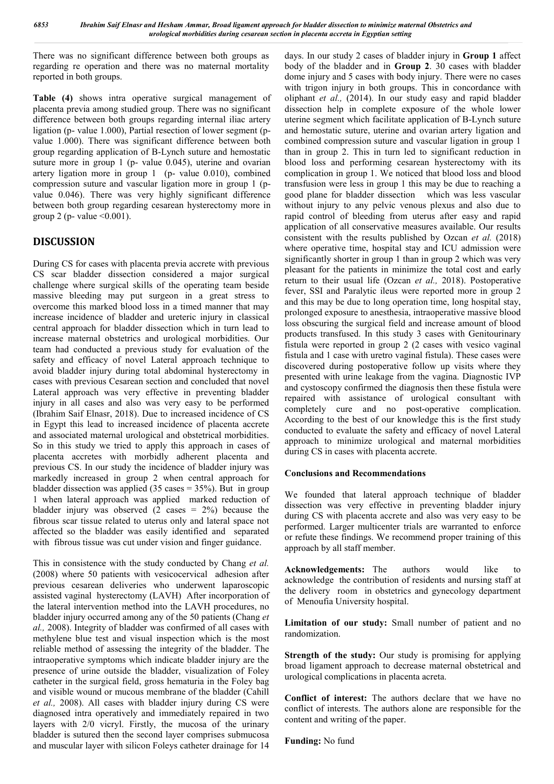There was no significant difference between both groups as regarding re operation and there was no maternal mortality reported in both groups.

**Table (4)** shows intra operative surgical management of placenta previa among studied group. There was no significant difference between both groups regarding internal iliac artery ligation (p- value 1.000), Partial resection of lower segment (pvalue 1.000). There was significant difference between both group regarding application of B-Lynch suture and hemostatic suture more in group 1 (p- value 0.045), uterine and ovarian artery ligation more in group 1 (p- value 0.010), combined compression suture and vascular ligation more in group 1 (pvalue 0.046). There was very highly significant difference between both group regarding cesarean hysterectomy more in group 2 (p- value  $\leq 0.001$ ).

## **DISCUSSION**

During CS for cases with placenta previa accrete with previous CS scar bladder dissection considered a major surgical challenge where surgical skills of the operating team beside massive bleeding may put surgeon in a great stress to overcome this marked blood loss in a timed manner that may increase incidence of bladder and ureteric injury in classical central approach for bladder dissection which in turn lead to increase maternal obstetrics and urological morbidities. Our team had conducted a previous study for evaluation of the safety and efficacy of novel Lateral approach technique to avoid bladder injury during total abdominal hysterectomy in cases with previous Cesarean section and concluded that novel Lateral approach was very effective in preventing bladder injury in all cases and also was very easy to be performed (Ibrahim Saif Elnasr, 2018). Due to increased incidence of CS in Egypt this lead to increased incidence of placenta accrete and associated maternal urological and obstetrical morbidities. So in this study we tried to apply this approach in cases of placenta accretes with morbidly adherent placenta and previous CS. In our study the incidence of bladder injury was markedly increased in group 2 when central approach for bladder dissection was applied  $(35 \text{ cases} = 35\%)$ . But in group 1 when lateral approach was applied marked reduction of bladder injury was observed  $(2 \csc 2\%)$  because the fibrous scar tissue related to uterus only and lateral space not affected so the bladder was easily identified and separated with fibrous tissue was cut under vision and finger guidance.

This in consistence with the study conducted by Chang *et al.*  (2008) where 50 patients with vesicocervical adhesion after previous cesarean deliveries who underwent laparoscopic assisted vaginal hysterectomy (LAVH) After incorporation of the lateral intervention method into the LAVH procedures, no bladder injury occurred among any of the 50 patients (Chang *et al.,* 2008). Integrity of bladder was confirmed of all cases with methylene blue test and visual inspection which is the most reliable method of assessing the integrity of the bladder. The intraoperative symptoms which indicate bladder injury are the presence of urine outside the bladder, visualization of Foley catheter in the surgical field, gross hematuria in the Foley bag and visible wound or mucous membrane of the bladder (Cahill *et al.,* 2008). All cases with bladder injury during CS were diagnosed intra operatively and immediately repaired in two layers with 2/0 vicryl. Firstly, the mucosa of the urinary bladder is sutured then the second layer comprises submucosa and muscular layer with silicon Foleys catheter drainage for 14

days. In our study 2 cases of bladder injury in **Group 1** affect body of the bladder and in **Group 2**. 30 cases with bladder dome injury and 5 cases with body injury. There were no cases with trigon injury in both groups. This in concordance with oliphant *et al.,* (2014). In our study easy and rapid bladder dissection help in complete exposure of the whole lower uterine segment which facilitate application of B-Lynch suture and hemostatic suture, uterine and ovarian artery ligation and combined compression suture and vascular ligation in group 1 than in group 2. This in turn led to significant reduction in blood loss and performing cesarean hysterectomy with its complication in group 1. We noticed that blood loss and blood transfusion were less in group 1 this may be due to reaching a good plane for bladder dissection which was less vascular without injury to any pelvic venous plexus and also due to rapid control of bleeding from uterus after easy and rapid application of all conservative measures available. Our results consistent with the results published by Ozcan *et al.* (2018) where operative time, hospital stay and ICU admission were significantly shorter in group 1 than in group 2 which was very pleasant for the patients in minimize the total cost and early return to their usual life (Ozcan *et al.,* 2018). Postoperative fever, SSI and Paralytic ileus were reported more in group 2 and this may be due to long operation time, long hospital stay, prolonged exposure to anesthesia, intraoperative massive blood loss obscuring the surgical field and increase amount of blood products transfused. In this study 3 cases with Genitourinary fistula were reported in group 2 (2 cases with vesico vaginal fistula and 1 case with uretro vaginal fistula). These cases were discovered during postoperative follow up visits where they presented with urine leakage from the vagina. Diagnostic IVP and cystoscopy confirmed the diagnosis then these fistula were repaired with assistance of urological consultant with completely cure and no post-operative complication. According to the best of our knowledge this is the first study conducted to evaluate the safety and efficacy of novel Lateral approach to minimize urological and maternal morbidities during CS in cases with placenta accrete.

## **Conclusions and Recommendations**

We founded that lateral approach technique of bladder dissection was very effective in preventing bladder injury during CS with placenta accrete and also was very easy to be performed. Larger multicenter trials are warranted to enforce or refute these findings. We recommend proper training of this approach by all staff member.

**Acknowledgements:** The authors would like to acknowledge the contribution of residents and nursing staff at the delivery room in obstetrics and gynecology department of Menoufia University hospital.

**Limitation of our study:** Small number of patient and no randomization.

**Strength of the study:** Our study is promising for applying broad ligament approach to decrease maternal obstetrical and urological complications in placenta acreta.

**Conflict of interest:** The authors declare that we have no conflict of interests. The authors alone are responsible for the content and writing of the paper.

**Funding:** No fund